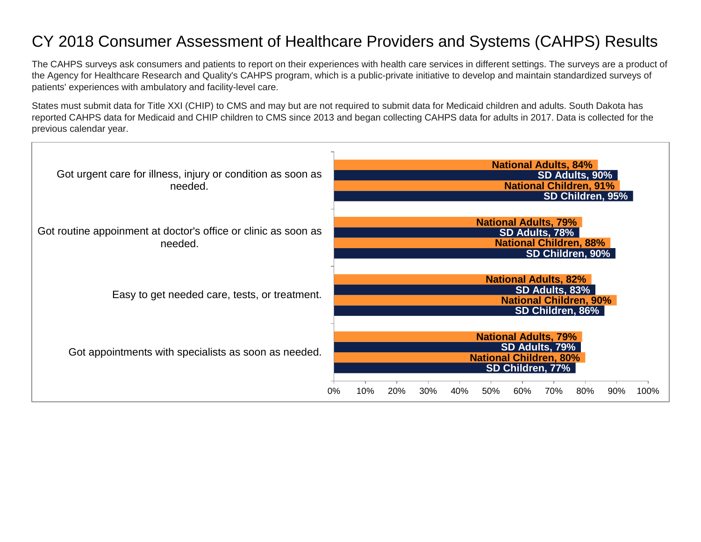## CY 2018 Consumer Assessment of Healthcare Providers and Systems (CAHPS) Results

The CAHPS surveys ask consumers and patients to report on their experiences with health care services in different settings. The surveys are a product of the Agency for Healthcare Research and Quality's CAHPS program, which is a public-private initiative to develop and maintain standardized surveys of patients' experiences with ambulatory and facility-level care.

States must submit data for Title XXI (CHIP) to CMS and may but are not required to submit data for Medicaid children and adults. South Dakota has reported CAHPS data for Medicaid and CHIP children to CMS since 2013 and began collecting CAHPS data for adults in 2017. Data is collected for the previous calendar year.